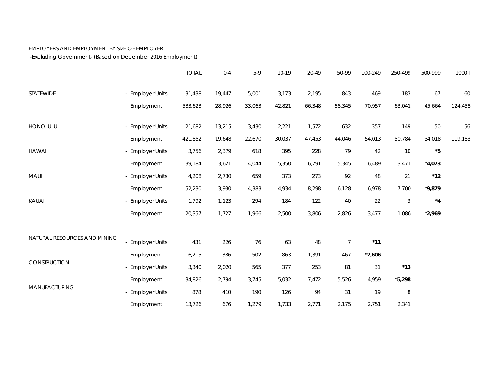## EMPLOYERS AND EMPLOYMENT BY SIZE OF EMPLOYER

-Excluding Government- (Based on December 2016 Employment)

|                              |                  | <b>TOTAL</b> | $0 - 4$ | $5-9$  | $10-19$ | 20-49  | 50-99          | 100-249  | 250-499    | 500-999       | $1000+$ |
|------------------------------|------------------|--------------|---------|--------|---------|--------|----------------|----------|------------|---------------|---------|
| STATEWIDE                    | - Employer Units | 31,438       | 19,447  | 5,001  | 3,173   | 2,195  | 843            | 469      | 183        | 67            | 60      |
|                              | Employment       | 533,623      | 28,926  | 33,063 | 42,821  | 66,348 | 58,345         | 70,957   | 63,041     | 45,664        | 124,458 |
| <b>HONOLULU</b>              | - Employer Units | 21,682       | 13,215  | 3,430  | 2,221   | 1,572  | 632            | 357      | 149        | 50            | 56      |
|                              | Employment       | 421,852      | 19,648  | 22,670 | 30,037  | 47,453 | 44,046         | 54,013   | 50,784     | 34,018        | 119,183 |
| <b>HAWAII</b>                | - Employer Units | 3,756        | 2,379   | 618    | 395     | 228    | 79             | 42       | $10$       | $^\star 5$    |         |
|                              | Employment       | 39,184       | 3,621   | 4,044  | 5,350   | 6,791  | 5,345          | 6,489    | 3,471      | $*4,073$      |         |
| MAUI                         | - Employer Units | 4,208        | 2,730   | 659    | 373     | 273    | 92             | 48       | 21         | $^{\star}$ 12 |         |
|                              | Employment       | 52,230       | 3,930   | 4,383  | 4,934   | 8,298  | 6,128          | 6,978    | 7,700      | $*9,879$      |         |
| KAUAI                        | - Employer Units | 1,792        | 1,123   | 294    | 184     | 122    | 40             | 22       | $\sqrt{3}$ | $^{\star}4$   |         |
|                              | Employment       | 20,357       | 1,727   | 1,966  | 2,500   | 3,806  | 2,826          | 3,477    | 1,086      | $*2,969$      |         |
| NATURAL RESOURCES AND MINING |                  |              |         |        |         |        |                |          |            |               |         |
|                              | - Employer Units | 431          | 226     | 76     | 63      | 48     | $\overline{7}$ | $*11$    |            |               |         |
| CONSTRUCTION                 | Employment       | 6,215        | 386     | 502    | 863     | 1,391  | 467            | $*2,606$ |            |               |         |
|                              | - Employer Units | 3,340        | 2,020   | 565    | 377     | 253    | 81             | 31       | $*13$      |               |         |
| MANUFACTURING                | Employment       | 34,826       | 2,794   | 3,745  | 5,032   | 7,472  | 5,526          | 4,959    | $*5,298$   |               |         |
|                              | - Employer Units | 878          | 410     | 190    | 126     | 94     | 31             | 19       | $\, 8$     |               |         |
|                              | Employment       | 13,726       | 676     | 1,279  | 1,733   | 2,771  | 2,175          | 2,751    | 2,341      |               |         |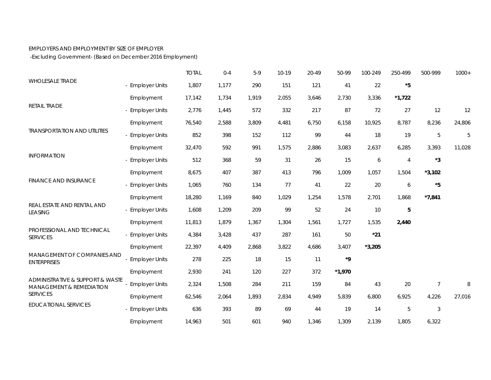## EMPLOYERS AND EMPLOYMENT BY SIZE OF EMPLOYER

-Excluding Government- (Based on December 2016 Employment)

|                                                                                 |                       | <b>TOTAL</b> | $0 - 4$ | $5-9$ | 10-19 | 20-49 | 50-99      | 100-249  | 250-499        | 500-999        | $1000+$ |
|---------------------------------------------------------------------------------|-----------------------|--------------|---------|-------|-------|-------|------------|----------|----------------|----------------|---------|
| <b>WHOLESALE TRADE</b>                                                          | - Employer Units      | 1,807        | 1,177   | 290   | 151   | 121   | 41         | 22       | $^\star 5$     |                |         |
| <b>RETAIL TRADE</b>                                                             | Employment            | 17,142       | 1,734   | 1,919 | 2,055 | 3,646 | 2,730      | 3,336    | $*1,722$       |                |         |
|                                                                                 | - Employer Units      | 2,776        | 1,445   | 572   | 332   | 217   | 87         | 72       | 27             | 12             | 12      |
| <b>TRANSPORTATION AND UTILITIES</b>                                             | Employment            | 76,540       | 2,588   | 3,809 | 4,481 | 6,750 | 6,158      | 10,925   | 8,787          | 8,236          | 24,806  |
|                                                                                 | - Employer Units      | 852          | 398     | 152   | 112   | 99    | 44         | 18       | 19             | 5              | 5       |
| <b>INFORMATION</b>                                                              | Employment            | 32,470       | 592     | 991   | 1,575 | 2,886 | 3,083      | 2,637    | 6,285          | 3,393          | 11,028  |
|                                                                                 | - Employer Units      | 512          | 368     | 59    | 31    | 26    | 15         | 6        | $\overline{4}$ | $^{\star}3$    |         |
| <b>FINANCE AND INSURANCE</b>                                                    | Employment            | 8,675        | 407     | 387   | 413   | 796   | 1,009      | 1,057    | 1,504          | $*3,102$       |         |
|                                                                                 | - Employer Units      | 1,065        | 760     | 134   | 77    | 41    | 22         | 20       | 6              | $^\star 5$     |         |
| REAL ESTATE AND RENTAL AND<br><b>LEASING</b>                                    | Employment            | 18,280       | 1,169   | 840   | 1,029 | 1,254 | 1,578      | 2,701    | 1,868          | $*7,841$       |         |
|                                                                                 | - Employer Units      | 1,608        | 1,209   | 209   | 99    | 52    | 24         | 10       | $\overline{5}$ |                |         |
|                                                                                 | Employment            | 11,813       | 1,879   | 1,367 | 1,304 | 1,561 | 1,727      | 1,535    | 2,440          |                |         |
| PROFESSIONAL AND TECHNICAL<br><b>SERVICES</b>                                   | - Employer Units      | 4,384        | 3,428   | 437   | 287   | 161   | 50         | $*21$    |                |                |         |
|                                                                                 | Employment            | 22,397       | 4,409   | 2,868 | 3,822 | 4,686 | 3,407      | $*3,205$ |                |                |         |
| MANAGEMENT OF COMPANIES AND<br><b>ENTERPRISES</b>                               | <b>Employer Units</b> | 278          | 225     | 18    | 15    | 11    | $^\star$ 9 |          |                |                |         |
|                                                                                 | Employment            | 2,930        | 241     | 120   | 227   | 372   | $*1,970$   |          |                |                |         |
| ADMINISTRATIVE & SUPPORT & WASTE<br>MANAGEMENT & REMEDIATION<br><b>SERVICES</b> | <b>Employer Units</b> | 2,324        | 1,508   | 284   | 211   | 159   | 84         | 43       | 20             | $\overline{7}$ | 8       |
|                                                                                 | Employment            | 62,546       | 2,064   | 1,893 | 2,834 | 4,949 | 5,839      | 6,800    | 6,925          | 4,226          | 27,016  |
| <b>EDUCATIONAL SERVICES</b>                                                     | - Employer Units      | 636          | 393     | 89    | 69    | 44    | 19         | 14       | 5              | $\mathfrak{Z}$ |         |
|                                                                                 | Employment            | 14,963       | 501     | 601   | 940   | 1,346 | 1,309      | 2,139    | 1,805          | 6,322          |         |